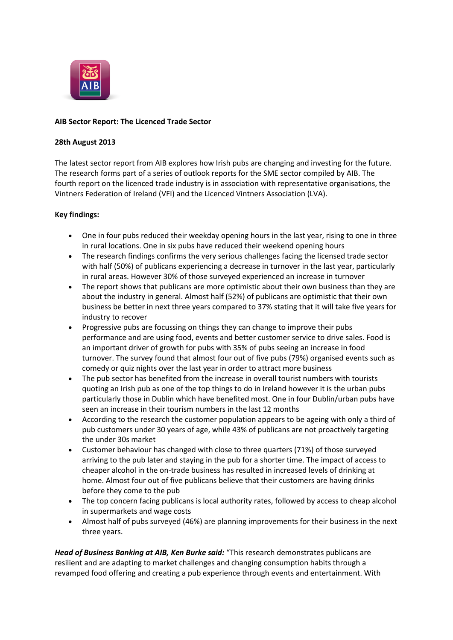

# **AIB Sector Report: The Licenced Trade Sector**

## **28th August 2013**

The latest sector report from AIB explores how Irish pubs are changing and investing for the future. The research forms part of a series of outlook reports for the SME sector compiled by AIB. The fourth report on the licenced trade industry is in association with representative organisations, the Vintners Federation of Ireland (VFI) and the Licenced Vintners Association (LVA).

# **Key findings:**

- One in four pubs reduced their weekday opening hours in the last year, rising to one in three in rural locations. One in six pubs have reduced their weekend opening hours
- The research findings confirms the very serious challenges facing the licensed trade sector with half (50%) of publicans experiencing a decrease in turnover in the last year, particularly in rural areas. However 30% of those surveyed experienced an increase in turnover
- The report shows that publicans are more optimistic about their own business than they are about the industry in general. Almost half (52%) of publicans are optimistic that their own business be better in next three years compared to 37% stating that it will take five years for industry to recover
- Progressive pubs are focussing on things they can change to improve their pubs performance and are using food, events and better customer service to drive sales. Food is an important driver of growth for pubs with 35% of pubs seeing an increase in food turnover. The survey found that almost four out of five pubs (79%) organised events such as comedy or quiz nights over the last year in order to attract more business
- The pub sector has benefited from the increase in overall tourist numbers with tourists quoting an Irish pub as one of the top things to do in Ireland however it is the urban pubs particularly those in Dublin which have benefited most. One in four Dublin/urban pubs have seen an increase in their tourism numbers in the last 12 months
- According to the research the customer population appears to be ageing with only a third of pub customers under 30 years of age, while 43% of publicans are not proactively targeting the under 30s market
- Customer behaviour has changed with close to three quarters (71%) of those surveyed arriving to the pub later and staying in the pub for a shorter time. The impact of access to cheaper alcohol in the on-trade business has resulted in increased levels of drinking at home. Almost four out of five publicans believe that their customers are having drinks before they come to the pub
- The top concern facing publicans is local authority rates, followed by access to cheap alcohol in supermarkets and wage costs
- Almost half of pubs surveyed (46%) are planning improvements for their business in the next three years.

*Head of Business Banking at AIB, Ken Burke said:* "This research demonstrates publicans are resilient and are adapting to market challenges and changing consumption habits through a revamped food offering and creating a pub experience through events and entertainment. With